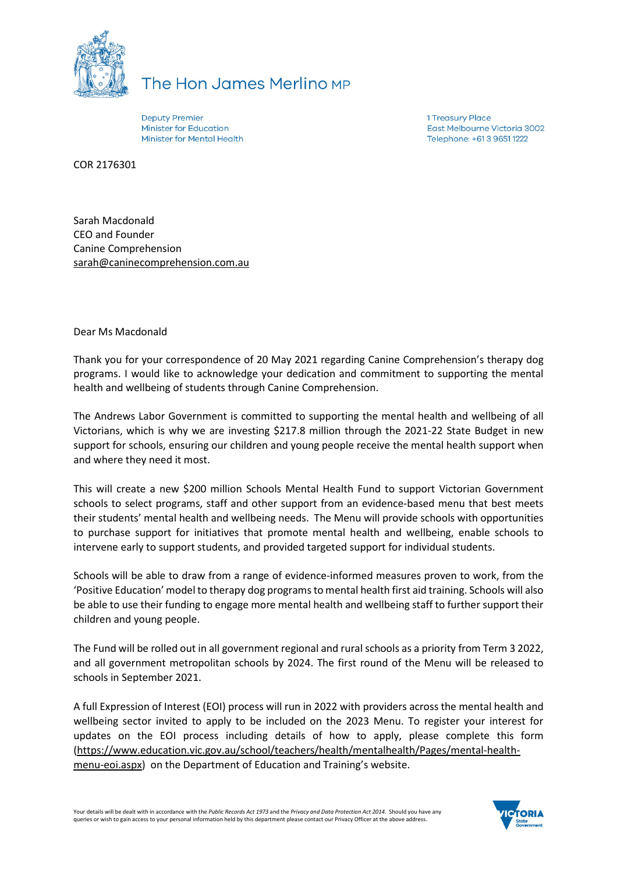

## The Hon James Merlino MP

**Deputy Premier Minister for Education** Minister for Mental Health 1 Treasury Place East Melbourne Victoria 3002 Telephone: +61 3 9651 1222

COR 2176301

Sarah Macdonald CEO and Founder Canine Comprehension sarah@caninecomprehension.com.au

Dear Ms Macdonald

Thank you for your correspondence of 20 May 2021 regarding Canine Comprehension's therapy dog programs. I would like to acknowledge your dedication and commitment to supporting the mental health and wellbeing of students through Canine Comprehension.

The Andrews Labor Government is committed to supporting the mental health and wellbeing of all Victorians, which is why we are investing \$217.8 million through the 2021-22 State Budget in new support for schools, ensuring our children and young people receive the mental health support when and where they need it most.

This will create a new \$200 million Schools Mental Health Fund to support Victorian Government schools to select programs, staff and other support from an evidence-based menu that best meets their students' mental health and wellbeing needs. The Menu will provide schools with opportunities to purchase support for initiatives that promote mental health and wellbeing, enable schools to intervene early to support students, and provided targeted support for individual students.

Schools will be able to draw from a range of evidence-informed measures proven to work, from the 'Positive Education' model to therapy dog programs to mental health first aid training. Schools will also be able to use their funding to engage more mental health and wellbeing staff to further support their children and young people.

The Fund will be rolled out in all government regional and rural schools as a priority from Term 3 2022, and all government metropolitan schools by 2024. The first round of the Menu will be released to schools in September 2021.

A full Expression of Interest (EOI) process will run in 2022 with providers across the mental health and wellbeing sector invited to apply to be included on the 2023 Menu. To register your interest for updates on the EOI process including details of how to apply, please complete this form [\(https://www.education.vic.gov.au/school/teachers/health/mentalhealth/Pages/mental-health](https://www.education.vic.gov.au/school/teachers/health/mentalhealth/Pages/mental-health-menu-eoi.aspx)[menu-eoi.aspx\)](https://www.education.vic.gov.au/school/teachers/health/mentalhealth/Pages/mental-health-menu-eoi.aspx) on the Department of Education and Training's website.